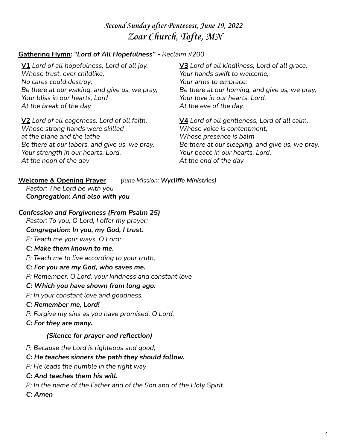# **Second Sunday after Pentecost, June 19, 2022 Zoar Church, Tofte, MN**

## **Gathering Hymn:** *"Lord of All Hopefulness" - Reclaim #200*

**V1** *Lord of all hopefulness, Lord of all joy, Whose trust, ever childlike, No cares could destroy: Be there at our waking, and give us, we pray, Your bliss in our hearts, Lord At the break of the day*

**V2** *Lord of all eagerness, Lord of all faith, Whose strong hands were skilled at the plane and the lathe Be there at our labors, and give us, we pray, Your strength in our hearts, Lord, At the noon of the day*

**V3** *Lord of all kindliness, Lord of all grace, Your hands swift to welcome, Your arms to embrace: Be there at our homing, and give us, we pray, Your love in our hearts, Lord, At the eve of the day.*

**V4** *Lord of all gentleness, Lord of all calm, Whose voice is contentment, Whose presence is balm Be there at our sleeping, and give us, we pray, Your peace in our hearts, Lord, At the end of the day*

**Welcome & Opening Prayer** *(June Mission: Wycliffe Ministries)*

*Pastor: The Lord be with you Congregation: And also with you*

#### *Confession and Forgiveness (From Psalm 25)*

*Pastor: To you, O Lord, I offer my prayer;*

## *Congregation: In you, my God, I trust.*

- *P: Teach me your ways, O Lord;*
- *C: Make them known to me.*
- *P: Teach me to live according to your truth,*
- *C: For you are my God, who saves me.*

*P: Remember, O Lord, your kindness and constant love*

## *C: Which you have shown from long ago.*

- *P: In your constant love and goodness,*
- *C: Remember me, Lord!*
- *P: Forgive my sins as you have promised, O Lord,*
- *C: For they are many.*

## *(Silence for prayer and reflection)*

*P: Because the Lord is righteous and good,*

## *C: He teaches sinners the path they should follow.*

- *P: He leads the humble in the right way*
- *C: And teaches them his will.*
- *P: In the name of the Father and of the Son and of the Holy Spirit*

*C: Amen*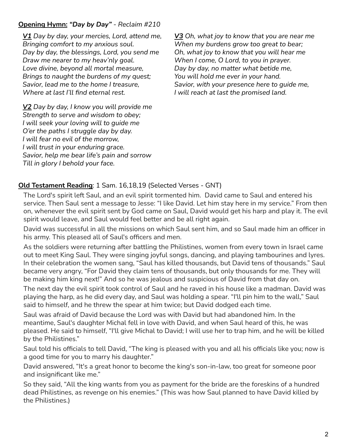## **Opening Hymn:** *"Day by Day" - Reclaim #210*

*V1 Day by day, your mercies, Lord, attend me, Bringing comfort to my anxious soul. Day by day, the blessings, Lord, you send me Draw me nearer to my heav'nly goal. Love divine, beyond all mortal measure, Brings to naught the burdens of my quest; Savior, lead me to the home I treasure, Where at last I'll find eternal rest.*

*V2 Day by day, I know you will provide me Strength to serve and wisdom to obey; I will seek your loving will to guide me O'er the paths I struggle day by day. I will fear no evil of the morrow, I will trust in your enduring grace. Savior, help me bear life's pain and sorrow Till in glory I behold your face.*

*V3 Oh, what joy to know that you are near me When my burdens grow too great to bear; Oh, what joy to know that you will hear me When I come, O Lord, to you in prayer. Day by day, no matter what betide me, You will hold me ever in your hand. Savior, with your presence here to guide me, I will reach at last the promised land.*

## **Old Testament Reading**: 1 Sam. 16,18,19 (Selected Verses - GNT)

The Lord's spirit left Saul, and an evil spirit tormented him. David came to Saul and entered his service. Then Saul sent a message to Jesse: "I like David. Let him stay here in my service." From then on, whenever the evil spirit sent by God came on Saul, David would get his harp and play it. The evil spirit would leave, and Saul would feel better and be all right again.

David was successful in all the missions on which Saul sent him, and so Saul made him an officer in his army. This pleased all of Saul's officers and men.

As the soldiers were returning after battling the Philistines, women from every town in Israel came out to meet King Saul. They were singing joyful songs, dancing, and playing tambourines and lyres. In their celebration the women sang, "Saul has killed thousands, but David tens of thousands." Saul became very angry, "For David they claim tens of thousands, but only thousands for me. They will be making him king next!" And so he was jealous and suspicious of David from that day on.

The next day the evil spirit took control of Saul and he raved in his house like a madman. David was playing the harp, as he did every day, and Saul was holding a spear. "I'll pin him to the wall," Saul said to himself, and he threw the spear at him twice; but David dodged each time.

Saul was afraid of David because the Lord was with David but had abandoned him. In the meantime, Saul's daughter Michal fell in love with David, and when Saul heard of this, he was pleased. He said to himself, "I'll give Michal to David; I will use her to trap him, and he will be killed by the Philistines."

Saul told his officials to tell David, "The king is pleased with you and all his officials like you; now is a good time for you to marry his daughter."

David answered, "It's a great honor to become the king's son-in-law, too great for someone poor and insignificant like me."

So they said, "All the king wants from you as payment for the bride are the foreskins of a hundred dead Philistines, as revenge on his enemies." (This was how Saul planned to have David killed by the Philistines.)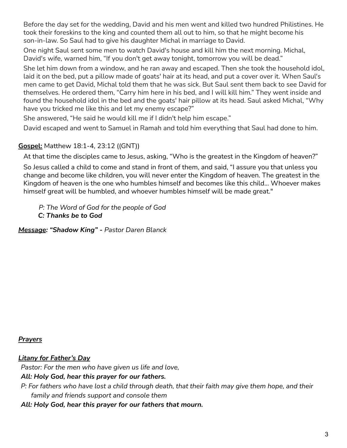Before the day set for the wedding, David and his men went and killed two hundred Philistines. He took their foreskins to the king and counted them all out to him, so that he might become his son-in-law. So Saul had to give his daughter Michal in marriage to David.

One night Saul sent some men to watch David's house and kill him the next morning. Michal, David's wife, warned him, "If you don't get away tonight, tomorrow you will be dead."

She let him down from a window, and he ran away and escaped. Then she took the household idol, laid it on the bed, put a pillow made of goats' hair at its head, and put a cover over it. When Saul's men came to get David, Michal told them that he was sick. But Saul sent them back to see David for themselves. He ordered them, "Carry him here in his bed, and I will kill him." They went inside and found the household idol in the bed and the goats' hair pillow at its head. Saul asked Michal, "Why have you tricked me like this and let my enemy escape?"

She answered, "He said he would kill me if I didn't help him escape."

David escaped and went to Samuel in Ramah and told him everything that Saul had done to him.

# **Gospel:** Matthew 18:1-4, 23:12 ((GNT))

At that time the disciples came to Jesus, asking, "Who is the greatest in the Kingdom of heaven?"

So Jesus called a child to come and stand in front of them, and said, "I assure you that unless you change and become like children, you will never enter the Kingdom of heaven. The greatest in the Kingdom of heaven is the one who humbles himself and becomes like this child... Whoever makes himself great will be humbled, and whoever humbles himself will be made great."

*P: The Word of God for the people of God C: Thanks be to God*

*Message: "Shadow King" - Pastor Daren Blanck*

## *Prayers*

# *Litany for Father's Day*

*Pastor: For the men who have given us life and love,*

# *All: Holy God, hear this prayer for our fathers.*

P: For fathers who have lost a child through death, that their faith may give them hope, and their *family and friends support and console them*

# *All: Holy God, hear this prayer for our fathers that mourn.*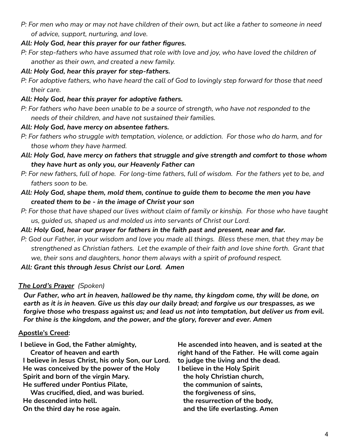P: For men who may or may not have children of their own, but act like a father to someone in need *of advice, support, nurturing, and love.*

### *All: Holy God, hear this prayer for our father figures.*

*P: For step-fathers who have assumed that role with love and joy, who have loved the children of another as their own, and created a new family.*

#### *All: Holy God, hear this prayer for step-fathers.*

P: For adoptive fathers, who have heard the call of God to lovingly step forward for those that need *their care.*

### *All: Holy God, hear this prayer for adoptive fathers.*

P: For fathers who have been unable to be a source of strength, who have not responded to the *needs of their children, and have not sustained their families.*

#### *All: Holy God, have mercy on absentee fathers.*

- *P: For fathers who struggle with temptation, violence, or addiction. For those who do harm, and for those whom they have harmed.*
- *All: Holy God, have mercy on fathers that struggle and give strength and comfort to those whom they have hurt as only you, our Heavenly Father can*
- P: For new fathers, full of hope. For long-time fathers, full of wisdom. For the fathers yet to be, and *fathers soon to be.*
- *All: Holy God, shape them, mold them, continue to guide them to become the men you have created them to be - in the image of Christ your son*
- P: For those that have shaped our lives without claim of family or kinship. For those who have taught *us, guided us, shaped us and molded us into servants of Christ our Lord.*

## *All: Holy God, hear our prayer for fathers in the faith past and present, near and far.*

P: God our Father, in your wisdom and love you made all things. Bless these men, that they may be *strengthened as Christian fathers. Let the example of their faith and love shine forth. Grant that we, their sons and daughters, honor them always with a spirit of profound respect.*

*All: Grant this through Jesus Christ our Lord. Amen*

## *The Lord's Prayer (Spoken)*

*Our Father, who art in heaven, hallowed be thy name, thy kingdom come, thy will be done, on* earth as it is in heaven. Give us this day our daily bread; and forgive us our trespasses, as we *forgive those who trespass against us; and lead us not into temptation, but deliver us from evil. For thine is the kingdom, and the power, and the glory, forever and ever. Amen*

## **Apostle's Creed:**

- **I believe in God, the Father almighty, Creator of heaven and earth I believe in Jesus Christ, his only Son, our Lord. He was conceived by the power of the Holy Spirit and born of the virgin Mary. He suffered under Pontius Pilate, Was crucified, died, and was buried. He descended into hell. On the third day he rose again.**
- **He ascended into heaven, and is seated at the right hand of the Father. He will come again to judge the living and the dead. I believe in the Holy Spirit the holy Christian church, the communion of saints, the forgiveness of sins, the resurrection of the body, and the life everlasting. Amen**